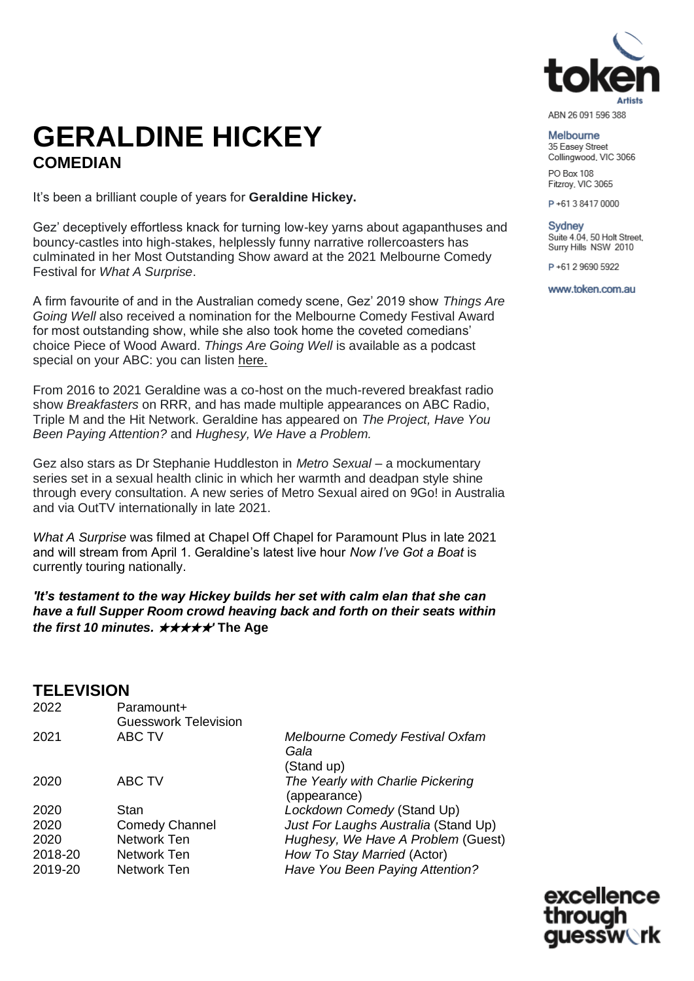

ABN 26 091 596 388

### Melbourne

35 Easey Street Collingwood, VIC 3066

PO Box 108 Fitzrov, VIC 3065

P+61384170000

Sydney Suite 4.04, 50 Holt Street, Surry Hills NSW 2010

P+61 2 9690 5922

www.token.com.au

# **GERALDINE HICKEY COMEDIAN**

It's been a brilliant couple of years for **Geraldine Hickey.**

Gez' deceptively effortless knack for turning low-key yarns about agapanthuses and bouncy-castles into high-stakes, helplessly funny narrative rollercoasters has culminated in her Most Outstanding Show award at the 2021 Melbourne Comedy Festival for *What A Surprise*.

A firm favourite of and in the Australian comedy scene, Gez' 2019 show *Things Are Going Well* also received a nomination for the Melbourne Comedy Festival Award for most outstanding show, while she also took home the coveted comedians' choice Piece of Wood Award. *Things Are Going Well* is available as a podcast special on your ABC: you can listen [here.](https://www.abc.net.au/radio/programs/abc-comedy-presents/geraldine-hickey-her-new-and-exclusive-stand-up-show/11940246)

From 2016 to 2021 Geraldine was a co-host on the much-revered breakfast radio show *Breakfasters* on RRR, and has made multiple appearances on ABC Radio, Triple M and the Hit Network. Geraldine has appeared on *The Project, Have You Been Paying Attention?* and *Hughesy, We Have a Problem.*

Gez also stars as Dr Stephanie Huddleston in *Metro Sexual* – a mockumentary series set in a sexual health clinic in which her warmth and deadpan style shine through every consultation. A new series of Metro Sexual aired on 9Go! in Australia and via OutTV internationally in late 2021.

*What A Surprise* was filmed at Chapel Off Chapel for Paramount Plus in late 2021 and will stream from April 1. Geraldine's latest live hour *Now I've Got a Boat* is currently touring nationally.

*'It's testament to the way Hickey builds her set with calm elan that she can have a full Supper Room crowd heaving back and forth on their seats within the first 10 minutes.* ★★★★★*'* **The Age**

#### **TELEVISION** 2022 Paramount+

| LULL    | i alahiyunti<br><b>Guesswork Television</b> |                                                              |
|---------|---------------------------------------------|--------------------------------------------------------------|
| 2021    | ABC TV                                      | <b>Melbourne Comedy Festival Oxfam</b><br>Gala<br>(Stand up) |
| 2020    | ABC TV                                      | The Yearly with Charlie Pickering<br>(appearance)            |
| 2020    | <b>Stan</b>                                 | Lockdown Comedy (Stand Up)                                   |
| 2020    | <b>Comedy Channel</b>                       | Just For Laughs Australia (Stand Up)                         |
| 2020    | Network Ten                                 | Hughesy, We Have A Problem (Guest)                           |
| 2018-20 | Network Ten                                 | How To Stay Married (Actor)                                  |
| 2019-20 | Network Ten                                 | Have You Been Paying Attention?                              |
|         |                                             |                                                              |

excellence through uessw∖rk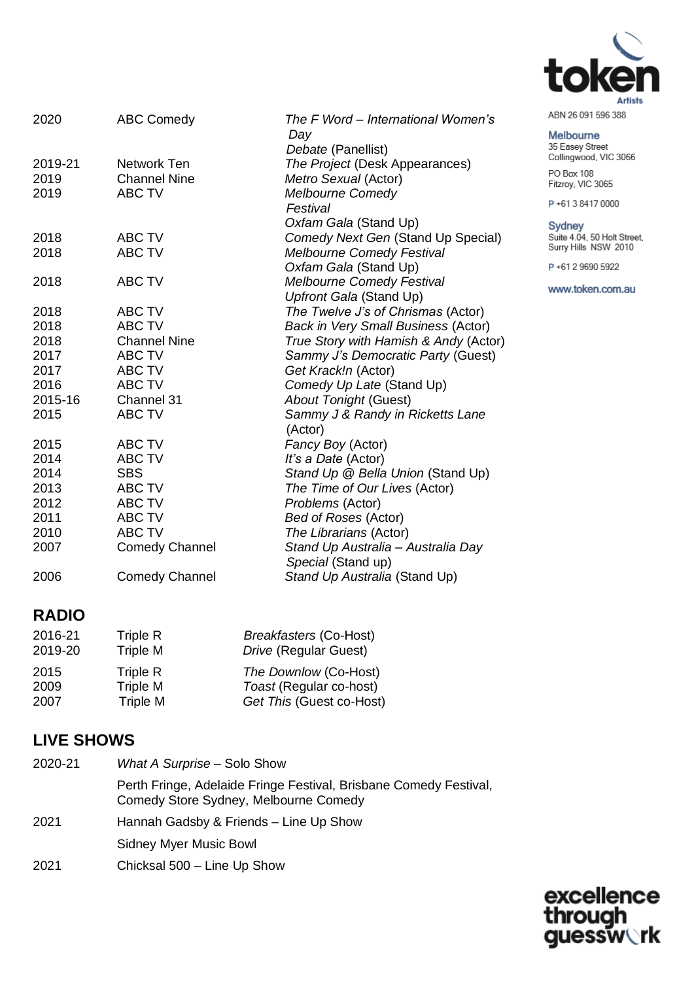

| ABN 26 091 596 388 |  |  |
|--------------------|--|--|
|                    |  |  |

### Melbourne

35 Easey Street Collingwood, VIC 3066

PO Box 108 Fitzroy, VIC 3065

P+61384170000

Sydney Suite 4.04, 50 Holt Street,<br>Surry Hills NSW 2010

P+61 2 9690 5922

www.token.com.au

| 2020    | <b>ABC Comedy</b>     | The F Word – International Women's<br>Day<br>Debate (Panellist) |
|---------|-----------------------|-----------------------------------------------------------------|
| 2019-21 | Network Ten           | The Project (Desk Appearances)                                  |
| 2019    | <b>Channel Nine</b>   | Metro Sexual (Actor)                                            |
| 2019    | <b>ABC TV</b>         | <b>Melbourne Comedy</b><br>Festival                             |
| 2018    | ABC TV                | Oxfam Gala (Stand Up)<br>Comedy Next Gen (Stand Up Special)     |
| 2018    | <b>ABC TV</b>         | <b>Melbourne Comedy Festival</b>                                |
|         |                       | Oxfam Gala (Stand Up)                                           |
| 2018    | <b>ABC TV</b>         | <b>Melbourne Comedy Festival</b>                                |
|         |                       | Upfront Gala (Stand Up)                                         |
| 2018    | <b>ABC TV</b>         | The Twelve J's of Chrismas (Actor)                              |
| 2018    | <b>ABC TV</b>         | <b>Back in Very Small Business (Actor)</b>                      |
| 2018    | <b>Channel Nine</b>   | True Story with Hamish & Andy (Actor)                           |
| 2017    | <b>ABC TV</b>         | Sammy J's Democratic Party (Guest)                              |
| 2017    | <b>ABC TV</b>         | Get Krack!n (Actor)                                             |
| 2016    | <b>ABC TV</b>         | Comedy Up Late (Stand Up)                                       |
| 2015-16 | Channel 31            | <b>About Tonight (Guest)</b>                                    |
| 2015    | <b>ABC TV</b>         | Sammy J & Randy in Ricketts Lane<br>(Actor)                     |
| 2015    | ABC TV                | Fancy Boy (Actor)                                               |
| 2014    | <b>ABC TV</b>         | It's a Date (Actor)                                             |
| 2014    | <b>SBS</b>            | Stand Up @ Bella Union (Stand Up)                               |
| 2013    | <b>ABC TV</b>         | The Time of Our Lives (Actor)                                   |
| 2012    | <b>ABC TV</b>         | Problems (Actor)                                                |
| 2011    | <b>ABC TV</b>         | <b>Bed of Roses (Actor)</b>                                     |
| 2010    | <b>ABC TV</b>         | The Librarians (Actor)                                          |
| 2007    | <b>Comedy Channel</b> | Stand Up Australia - Australia Day<br>Special (Stand up)        |
| 2006    | <b>Comedy Channel</b> | Stand Up Australia (Stand Up)                                   |

# **RADIO**

| 2016-21 | Triple R | <b>Breakfasters (Co-Host)</b> |  |
|---------|----------|-------------------------------|--|
| 2019-20 | Triple M | Drive (Regular Guest)         |  |
| 2015    | Triple R | The Downlow (Co-Host)         |  |
| 2009    | Triple M | Toast (Regular co-host)       |  |
| 2007    | Triple M | Get This (Guest co-Host)      |  |

# **LIVE SHOWS**

2020-21 *What A Surprise* – Solo Show Perth Fringe, Adelaide Fringe Festival, Brisbane Comedy Festival, Comedy Store Sydney, Melbourne Comedy 2021 Hannah Gadsby & Friends – Line Up Show Sidney Myer Music Bowl 2021 Chicksal 500 – Line Up Show

> excellence through **guessw**्rk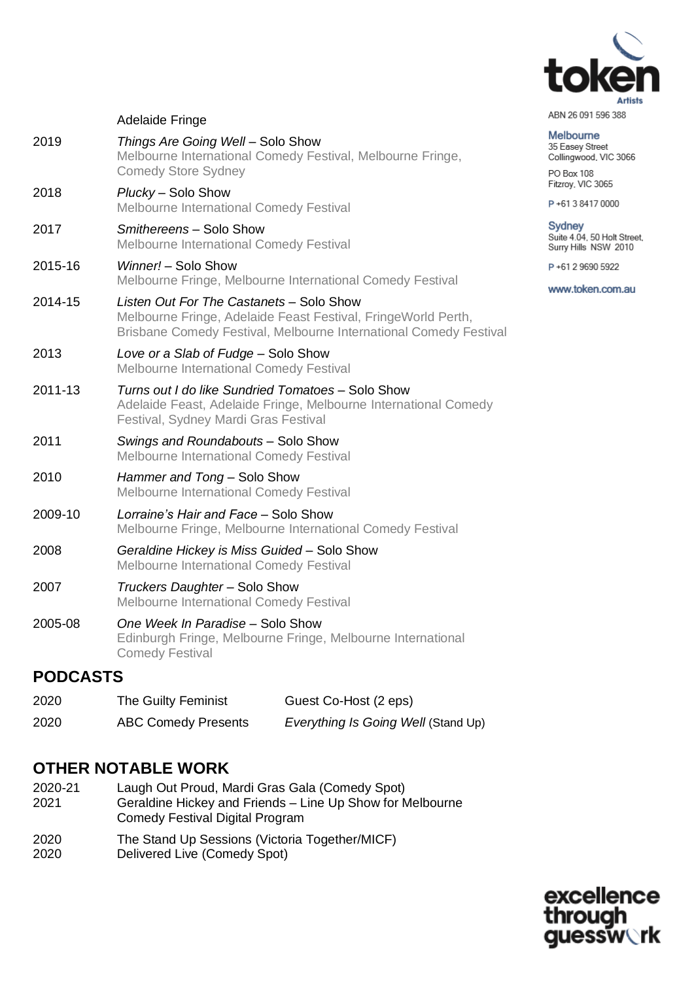

#### ABN 26 091 596 388

#### Melbourne 35 Easey Street

Collingwood, VIC 3066 PO Box 108

Fitzroy, VIC 3065

P+61384170000

## Sydney Suite 4.04, 50 Holt Street,<br>Surry Hills NSW 2010

P+61 2 9690 5922

www.token.com.au

### Adelaide Fringe

| 2019    | Things Are Going Well - Solo Show<br>Melbourne International Comedy Festival, Melbourne Fringe,<br><b>Comedy Store Sydney</b>                                                  |
|---------|--------------------------------------------------------------------------------------------------------------------------------------------------------------------------------|
| 2018    | Plucky - Solo Show<br>Melbourne International Comedy Festival                                                                                                                  |
| 2017    | Smithereens - Solo Show<br>Melbourne International Comedy Festival                                                                                                             |
| 2015-16 | Winner! - Solo Show<br>Melbourne Fringe, Melbourne International Comedy Festival                                                                                               |
| 2014-15 | Listen Out For The Castanets - Solo Show<br>Melbourne Fringe, Adelaide Feast Festival, FringeWorld Perth,<br>Brisbane Comedy Festival, Melbourne International Comedy Festival |
| 2013    | Love or a Slab of Fudge - Solo Show<br><b>Melbourne International Comedy Festival</b>                                                                                          |
| 2011-13 | Turns out I do like Sundried Tomatoes - Solo Show<br>Adelaide Feast, Adelaide Fringe, Melbourne International Comedy<br>Festival, Sydney Mardi Gras Festival                   |
| 2011    | Swings and Roundabouts - Solo Show<br><b>Melbourne International Comedy Festival</b>                                                                                           |
| 2010    | Hammer and Tong - Solo Show<br>Melbourne International Comedy Festival                                                                                                         |
| 2009-10 | Lorraine's Hair and Face - Solo Show<br>Melbourne Fringe, Melbourne International Comedy Festival                                                                              |
| 2008    | Geraldine Hickey is Miss Guided - Solo Show<br><b>Melbourne International Comedy Festival</b>                                                                                  |
| 2007    | Truckers Daughter - Solo Show<br>Melbourne International Comedy Festival                                                                                                       |
| 2005-08 | One Week In Paradise - Solo Show<br>Edinburgh Fringe, Melbourne Fringe, Melbourne International<br><b>Comedy Festival</b>                                                      |
|         |                                                                                                                                                                                |

# **PODCASTS**

2020 The Guilty Feminist Guest Co-Host (2 eps) 2020 ABC Comedy Presents *Everything Is Going Well* (Stand Up)

# **OTHER NOTABLE WORK**

- 2020-21 Laugh Out Proud, Mardi Gras Gala (Comedy Spot) 2021 Geraldine Hickey and Friends – Line Up Show for Melbourne Comedy Festival Digital Program
- 2020 The Stand Up Sessions (Victoria Together/MICF)
- 2020 Delivered Live (Comedy Spot)

excellence through **guessw**्rk